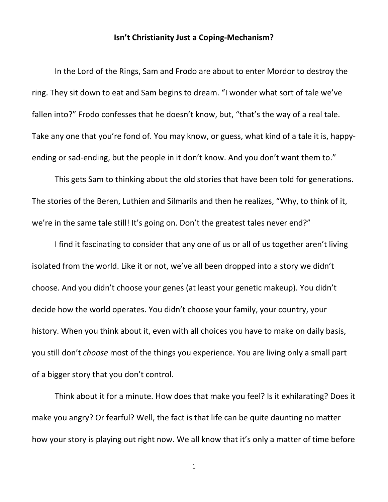## **Isn't Christianity Just a Coping-Mechanism?**

In the Lord of the Rings, Sam and Frodo are about to enter Mordor to destroy the ring. They sit down to eat and Sam begins to dream. "I wonder what sort of tale we've fallen into?" Frodo confesses that he doesn't know, but, "that's the way of a real tale. Take any one that you're fond of. You may know, or guess, what kind of a tale it is, happyending or sad-ending, but the people in it don't know. And you don't want them to."

This gets Sam to thinking about the old stories that have been told for generations. The stories of the Beren, Luthien and Silmarils and then he realizes, "Why, to think of it, we're in the same tale still! It's going on. Don't the greatest tales never end?"

I find it fascinating to consider that any one of us or all of us together aren't living isolated from the world. Like it or not, we've all been dropped into a story we didn't choose. And you didn't choose your genes (at least your genetic makeup). You didn't decide how the world operates. You didn't choose your family, your country, your history. When you think about it, even with all choices you have to make on daily basis, you still don't *choose* most of the things you experience. You are living only a small part of a bigger story that you don't control.

Think about it for a minute. How does that make you feel? Is it exhilarating? Does it make you angry? Or fearful? Well, the fact is that life can be quite daunting no matter how your story is playing out right now. We all know that it's only a matter of time before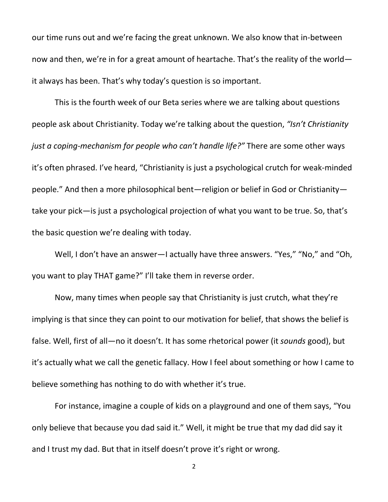our time runs out and we're facing the great unknown. We also know that in-between now and then, we're in for a great amount of heartache. That's the reality of the world it always has been. That's why today's question is so important.

This is the fourth week of our Beta series where we are talking about questions people ask about Christianity. Today we're talking about the question, *"Isn't Christianity just a coping-mechanism for people who can't handle life?"* There are some other ways it's often phrased. I've heard, "Christianity is just a psychological crutch for weak-minded people." And then a more philosophical bent—religion or belief in God or Christianity take your pick—is just a psychological projection of what you want to be true. So, that's the basic question we're dealing with today.

Well, I don't have an answer-I actually have three answers. "Yes," "No," and "Oh, you want to play THAT game?" I'll take them in reverse order.

Now, many times when people say that Christianity is just crutch, what they're implying is that since they can point to our motivation for belief, that shows the belief is false. Well, first of all—no it doesn't. It has some rhetorical power (it *sounds* good), but it's actually what we call the genetic fallacy. How I feel about something or how I came to believe something has nothing to do with whether it's true.

For instance, imagine a couple of kids on a playground and one of them says, "You only believe that because you dad said it." Well, it might be true that my dad did say it and I trust my dad. But that in itself doesn't prove it's right or wrong.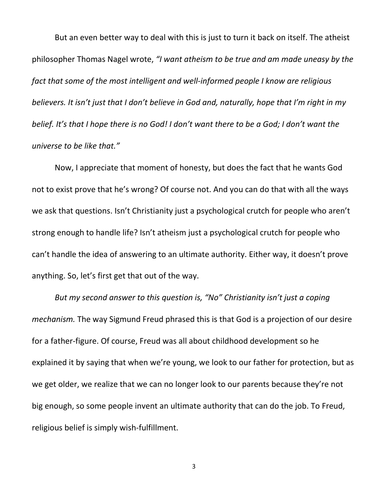But an even better way to deal with this is just to turn it back on itself. The atheist philosopher Thomas Nagel wrote, *"I want atheism to be true and am made uneasy by the fact that some of the most intelligent and well-informed people I know are religious believers. It isn't just that I don't believe in God and, naturally, hope that I'm right in my belief. It's that I hope there is no God! I don't want there to be a God; I don't want the universe to be like that."*

Now, I appreciate that moment of honesty, but does the fact that he wants God not to exist prove that he's wrong? Of course not. And you can do that with all the ways we ask that questions. Isn't Christianity just a psychological crutch for people who aren't strong enough to handle life? Isn't atheism just a psychological crutch for people who can't handle the idea of answering to an ultimate authority. Either way, it doesn't prove anything. So, let's first get that out of the way.

*But my second answer to this question is, "No" Christianity isn't just a coping mechanism.* The way Sigmund Freud phrased this is that God is a projection of our desire for a father-figure. Of course, Freud was all about childhood development so he explained it by saying that when we're young, we look to our father for protection, but as we get older, we realize that we can no longer look to our parents because they're not big enough, so some people invent an ultimate authority that can do the job. To Freud, religious belief is simply wish-fulfillment.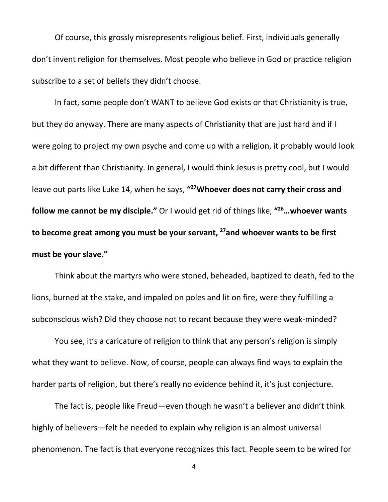Of course, this grossly misrepresents religious belief. First, individuals generally don't invent religion for themselves. Most people who believe in God or practice religion subscribe to a set of beliefs they didn't choose.

In fact, some people don't WANT to believe God exists or that Christianity is true, but they do anyway. There are many aspects of Christianity that are just hard and if I were going to project my own psyche and come up with a religion, it probably would look a bit different than Christianity. In general, I would think Jesus is pretty cool, but I would leave out parts like Luke 14, when he says, **"27Whoever does not carry their cross and follow me cannot be my disciple."** Or I would get rid of things like, **"26…whoever wants to become great among you must be your servant, 27and whoever wants to be first must be your slave."**

Think about the martyrs who were stoned, beheaded, baptized to death, fed to the lions, burned at the stake, and impaled on poles and lit on fire, were they fulfilling a subconscious wish? Did they choose not to recant because they were weak-minded?

You see, it's a caricature of religion to think that any person's religion is simply what they want to believe. Now, of course, people can always find ways to explain the harder parts of religion, but there's really no evidence behind it, it's just conjecture.

The fact is, people like Freud—even though he wasn't a believer and didn't think highly of believers—felt he needed to explain why religion is an almost universal phenomenon. The fact is that everyone recognizes this fact. People seem to be wired for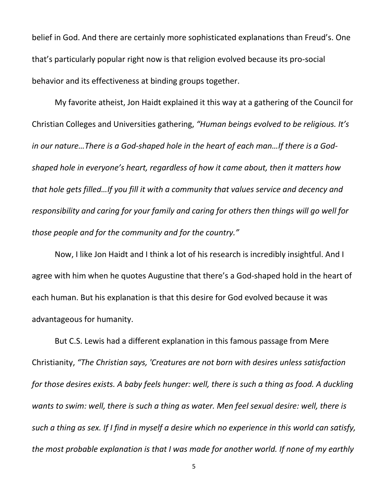belief in God. And there are certainly more sophisticated explanations than Freud's. One that's particularly popular right now is that religion evolved because its pro-social behavior and its effectiveness at binding groups together.

My favorite atheist, Jon Haidt explained it this way at a gathering of the Council for Christian Colleges and Universities gathering, *"Human beings evolved to be religious. It's in our nature…There is a God-shaped hole in the heart of each man…If there is a Godshaped hole in everyone's heart, regardless of how it came about, then it matters how that hole gets filled…If you fill it with a community that values service and decency and responsibility and caring for your family and caring for others then things will go well for those people and for the community and for the country."*

Now, I like Jon Haidt and I think a lot of his research is incredibly insightful. And I agree with him when he quotes Augustine that there's a God-shaped hold in the heart of each human. But his explanation is that this desire for God evolved because it was advantageous for humanity.

But C.S. Lewis had a different explanation in this famous passage from Mere Christianity, *"The Christian says, 'Creatures are not born with desires unless satisfaction for those desires exists. A baby feels hunger: well, there is such a thing as food. A duckling wants to swim: well, there is such a thing as water. Men feel sexual desire: well, there is such a thing as sex. If I find in myself a desire which no experience in this world can satisfy, the most probable explanation is that I was made for another world. If none of my earthly*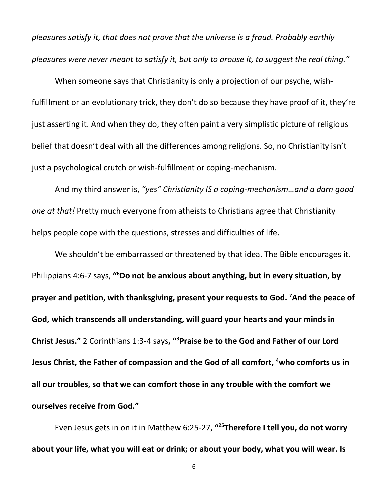*pleasures satisfy it, that does not prove that the universe is a fraud. Probably earthly pleasures were never meant to satisfy it, but only to arouse it, to suggest the real thing."*

When someone says that Christianity is only a projection of our psyche, wishfulfillment or an evolutionary trick, they don't do so because they have proof of it, they're just asserting it. And when they do, they often paint a very simplistic picture of religious belief that doesn't deal with all the differences among religions. So, no Christianity isn't just a psychological crutch or wish-fulfillment or coping-mechanism.

And my third answer is, *"yes" Christianity IS a coping-mechanism…and a darn good one at that!* Pretty much everyone from atheists to Christians agree that Christianity helps people cope with the questions, stresses and difficulties of life.

We shouldn't be embarrassed or threatened by that idea. The Bible encourages it. Philippians 4:6-7 says, **"6 Do not be anxious about anything, but in every situation, by prayer and petition, with thanksgiving, present your requests to God. 7 And the peace of God, which transcends all understanding, will guard your hearts and your minds in Christ Jesus."** 2 Corinthians 1:3-4 says**, "3 Praise be to the God and Father of our Lord Jesus Christ, the Father of compassion and the God of all comfort, 4 who comforts us in all our troubles, so that we can comfort those in any trouble with the comfort we ourselves receive from God."**

Even Jesus gets in on it in Matthew 6:25-27, **"25Therefore I tell you, do not worry about your life, what you will eat or drink; or about your body, what you will wear. Is**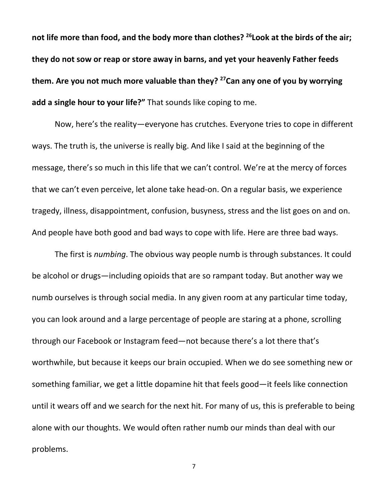**not life more than food, and the body more than clothes? 26Look at the birds of the air; they do not sow or reap or store away in barns, and yet your heavenly Father feeds them. Are you not much more valuable than they? 27Can any one of you by worrying add a single hour to your life?"** That sounds like coping to me.

Now, here's the reality—everyone has crutches. Everyone tries to cope in different ways. The truth is, the universe is really big. And like I said at the beginning of the message, there's so much in this life that we can't control. We're at the mercy of forces that we can't even perceive, let alone take head-on. On a regular basis, we experience tragedy, illness, disappointment, confusion, busyness, stress and the list goes on and on. And people have both good and bad ways to cope with life. Here are three bad ways.

The first is *numbing*. The obvious way people numb is through substances. It could be alcohol or drugs—including opioids that are so rampant today. But another way we numb ourselves is through social media. In any given room at any particular time today, you can look around and a large percentage of people are staring at a phone, scrolling through our Facebook or Instagram feed—not because there's a lot there that's worthwhile, but because it keeps our brain occupied. When we do see something new or something familiar, we get a little dopamine hit that feels good—it feels like connection until it wears off and we search for the next hit. For many of us, this is preferable to being alone with our thoughts. We would often rather numb our minds than deal with our problems.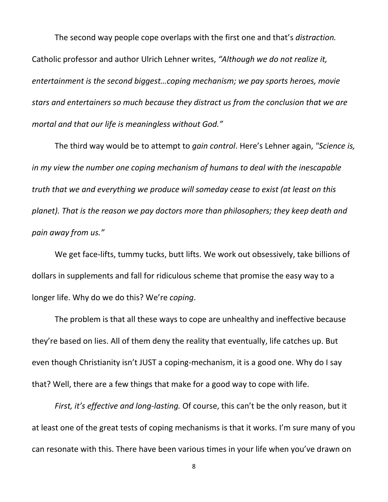The second way people cope overlaps with the first one and that's *distraction.* Catholic professor and author Ulrich Lehner writes, *"Although we do not realize it, entertainment is the second biggest…coping mechanism; we pay sports heroes, movie stars and entertainers so much because they distract us from the conclusion that we are mortal and that our life is meaningless without God."*

The third way would be to attempt to *gain control*. Here's Lehner again, *"Science is, in my view the number one coping mechanism of humans to deal with the inescapable truth that we and everything we produce will someday cease to exist (at least on this planet). That is the reason we pay doctors more than philosophers; they keep death and pain away from us."*

We get face-lifts, tummy tucks, butt lifts. We work out obsessively, take billions of dollars in supplements and fall for ridiculous scheme that promise the easy way to a longer life. Why do we do this? We're *coping*.

The problem is that all these ways to cope are unhealthy and ineffective because they're based on lies. All of them deny the reality that eventually, life catches up. But even though Christianity isn't JUST a coping-mechanism, it is a good one. Why do I say that? Well, there are a few things that make for a good way to cope with life.

*First, it's effective and long-lasting.* Of course, this can't be the only reason, but it at least one of the great tests of coping mechanisms is that it works. I'm sure many of you can resonate with this. There have been various times in your life when you've drawn on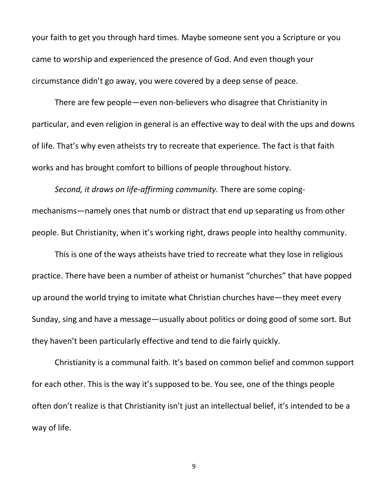your faith to get you through hard times. Maybe someone sent you a Scripture or you came to worship and experienced the presence of God. And even though your circumstance didn't go away, you were covered by a deep sense of peace.

There are few people—even non-believers who disagree that Christianity in particular, and even religion in general is an effective way to deal with the ups and downs of life. That's why even atheists try to recreate that experience. The fact is that faith works and has brought comfort to billions of people throughout history.

*Second, it draws on life-affirming community.* There are some copingmechanisms—namely ones that numb or distract that end up separating us from other people. But Christianity, when it's working right, draws people into healthy community.

This is one of the ways atheists have tried to recreate what they lose in religious practice. There have been a number of atheist or humanist "churches" that have popped up around the world trying to imitate what Christian churches have—they meet every Sunday, sing and have a message—usually about politics or doing good of some sort. But they haven't been particularly effective and tend to die fairly quickly.

Christianity is a communal faith. It's based on common belief and common support for each other. This is the way it's supposed to be. You see, one of the things people often don't realize is that Christianity isn't just an intellectual belief, it's intended to be a way of life.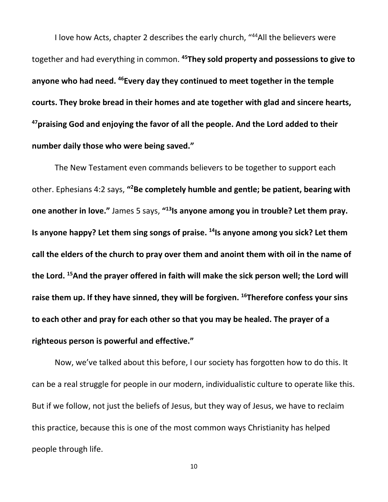I love how Acts, chapter 2 describes the early church, "44All the believers were together and had everything in common. **45They sold property and possessions to give to anyone who had need. 46Every day they continued to meet together in the temple courts. They broke bread in their homes and ate together with glad and sincere hearts, 47praising God and enjoying the favor of all the people. And the Lord added to their number daily those who were being saved."**

The New Testament even commands believers to be together to support each other. Ephesians 4:2 says, **"2 Be completely humble and gentle; be patient, bearing with one another in love."** James 5 says, **"13Is anyone among you in trouble? Let them pray. Is anyone happy? Let them sing songs of praise. 14Is anyone among you sick? Let them call the elders of the church to pray over them and anoint them with oil in the name of the Lord. 15And the prayer offered in faith will make the sick person well; the Lord will**  raise them up. If they have sinned, they will be forgiven. <sup>16</sup>Therefore confess your sins **to each other and pray for each other so that you may be healed. The prayer of a righteous person is powerful and effective."**

Now, we've talked about this before, I our society has forgotten how to do this. It can be a real struggle for people in our modern, individualistic culture to operate like this. But if we follow, not just the beliefs of Jesus, but they way of Jesus, we have to reclaim this practice, because this is one of the most common ways Christianity has helped people through life.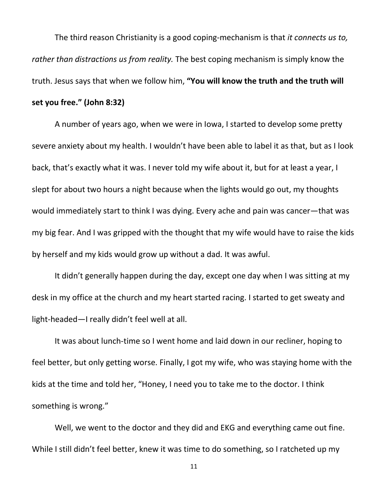The third reason Christianity is a good coping-mechanism is that *it connects us to, rather than distractions us from reality.* The best coping mechanism is simply know the truth. Jesus says that when we follow him, **"You will know the truth and the truth will** 

## **set you free." (John 8:32)**

A number of years ago, when we were in Iowa, I started to develop some pretty severe anxiety about my health. I wouldn't have been able to label it as that, but as I look back, that's exactly what it was. I never told my wife about it, but for at least a year, I slept for about two hours a night because when the lights would go out, my thoughts would immediately start to think I was dying. Every ache and pain was cancer—that was my big fear. And I was gripped with the thought that my wife would have to raise the kids by herself and my kids would grow up without a dad. It was awful.

It didn't generally happen during the day, except one day when I was sitting at my desk in my office at the church and my heart started racing. I started to get sweaty and light-headed—I really didn't feel well at all.

It was about lunch-time so I went home and laid down in our recliner, hoping to feel better, but only getting worse. Finally, I got my wife, who was staying home with the kids at the time and told her, "Honey, I need you to take me to the doctor. I think something is wrong."

Well, we went to the doctor and they did and EKG and everything came out fine. While I still didn't feel better, knew it was time to do something, so I ratcheted up my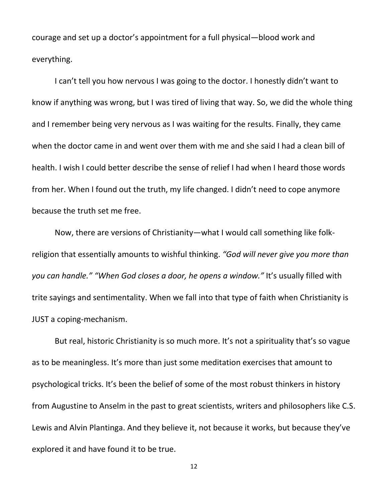courage and set up a doctor's appointment for a full physical—blood work and everything.

I can't tell you how nervous I was going to the doctor. I honestly didn't want to know if anything was wrong, but I was tired of living that way. So, we did the whole thing and I remember being very nervous as I was waiting for the results. Finally, they came when the doctor came in and went over them with me and she said I had a clean bill of health. I wish I could better describe the sense of relief I had when I heard those words from her. When I found out the truth, my life changed. I didn't need to cope anymore because the truth set me free.

Now, there are versions of Christianity—what I would call something like folkreligion that essentially amounts to wishful thinking. *"God will never give you more than you can handle." "When God closes a door, he opens a window."* It's usually filled with trite sayings and sentimentality. When we fall into that type of faith when Christianity is JUST a coping-mechanism.

But real, historic Christianity is so much more. It's not a spirituality that's so vague as to be meaningless. It's more than just some meditation exercises that amount to psychological tricks. It's been the belief of some of the most robust thinkers in history from Augustine to Anselm in the past to great scientists, writers and philosophers like C.S. Lewis and Alvin Plantinga. And they believe it, not because it works, but because they've explored it and have found it to be true.